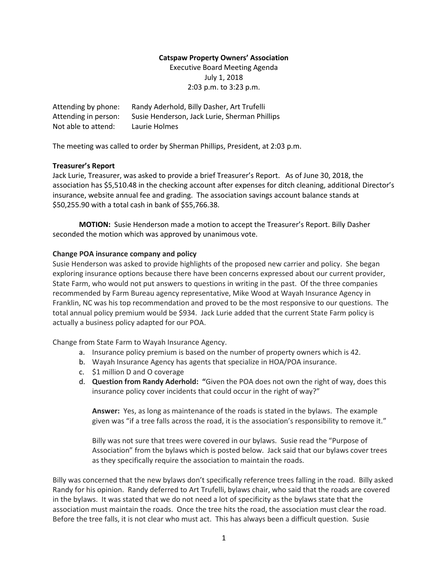#### **Catspaw Property Owners' Association**

Executive Board Meeting Agenda July 1, 2018 2:03 p.m. to 3:23 p.m.

Attending by phone: Randy Aderhold, Billy Dasher, Art Trufelli Attending in person: Susie Henderson, Jack Lurie, Sherman Phillips Not able to attend: Laurie Holmes

The meeting was called to order by Sherman Phillips, President, at 2:03 p.m.

### **Treasurer's Report**

Jack Lurie, Treasurer, was asked to provide a brief Treasurer's Report. As of June 30, 2018, the association has \$5,510.48 in the checking account after expenses for ditch cleaning, additional Director's insurance, website annual fee and grading. The association savings account balance stands at \$50,255.90 with a total cash in bank of \$55,766.38.

**MOTION:** Susie Henderson made a motion to accept the Treasurer's Report. Billy Dasher seconded the motion which was approved by unanimous vote.

### **Change POA insurance company and policy**

Susie Henderson was asked to provide highlights of the proposed new carrier and policy. She began exploring insurance options because there have been concerns expressed about our current provider, State Farm, who would not put answers to questions in writing in the past. Of the three companies recommended by Farm Bureau agency representative, Mike Wood at Wayah Insurance Agency in Franklin, NC was his top recommendation and proved to be the most responsive to our questions. The total annual policy premium would be \$934. Jack Lurie added that the current State Farm policy is actually a business policy adapted for our POA.

Change from State Farm to Wayah Insurance Agency.

- a. Insurance policy premium is based on the number of property owners which is 42.
- b. Wayah Insurance Agency has agents that specialize in HOA/POA insurance.
- c. \$1 million D and O coverage
- d. **Question from Randy Aderhold: "**Given the POA does not own the right of way, does this insurance policy cover incidents that could occur in the right of way?"

**Answer:** Yes, as long as maintenance of the roads is stated in the bylaws. The example given was "if a tree falls across the road, it is the association's responsibility to remove it."

Billy was not sure that trees were covered in our bylaws. Susie read the "Purpose of Association" from the bylaws which is posted below. Jack said that our bylaws cover trees as they specifically require the association to maintain the roads.

Billy was concerned that the new bylaws don't specifically reference trees falling in the road. Billy asked Randy for his opinion. Randy deferred to Art Trufelli, bylaws chair, who said that the roads are covered in the bylaws. It was stated that we do not need a lot of specificity as the bylaws state that the association must maintain the roads. Once the tree hits the road, the association must clear the road. Before the tree falls, it is not clear who must act. This has always been a difficult question. Susie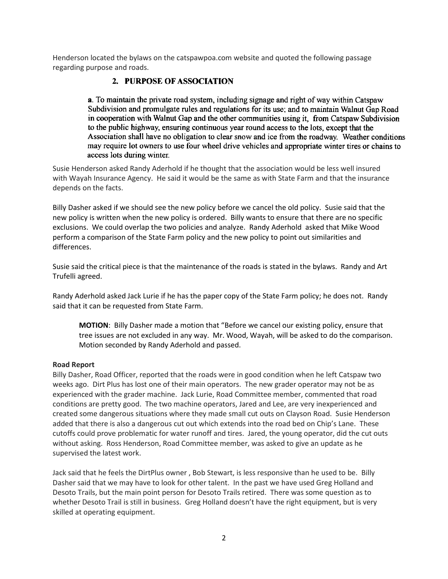Henderson located the bylaws on the catspawpoa.com website and quoted the following passage regarding purpose and roads.

# 2. PURPOSE OF ASSOCIATION

a. To maintain the private road system, including signage and right of way within Catspaw Subdivision and promulgate rules and regulations for its use; and to maintain Walnut Gap Road in cooperation with Walnut Gap and the other communities using it. from Catspaw Subdivision to the public highway, ensuring continuous year round access to the lots, except that the Association shall have no obligation to clear snow and ice from the roadway. Weather conditions may require lot owners to use four wheel drive vehicles and appropriate winter tires or chains to access lots during winter.

Susie Henderson asked Randy Aderhold if he thought that the association would be less well insured with Wayah Insurance Agency. He said it would be the same as with State Farm and that the insurance depends on the facts.

Billy Dasher asked if we should see the new policy before we cancel the old policy. Susie said that the new policy is written when the new policy is ordered. Billy wants to ensure that there are no specific exclusions. We could overlap the two policies and analyze. Randy Aderhold asked that Mike Wood perform a comparison of the State Farm policy and the new policy to point out similarities and differences.

Susie said the critical piece is that the maintenance of the roads is stated in the bylaws. Randy and Art Trufelli agreed.

Randy Aderhold asked Jack Lurie if he has the paper copy of the State Farm policy; he does not. Randy said that it can be requested from State Farm.

**MOTION**: Billy Dasher made a motion that "Before we cancel our existing policy, ensure that tree issues are not excluded in any way. Mr. Wood, Wayah, will be asked to do the comparison. Motion seconded by Randy Aderhold and passed.

# **Road Report**

Billy Dasher, Road Officer, reported that the roads were in good condition when he left Catspaw two weeks ago. Dirt Plus has lost one of their main operators. The new grader operator may not be as experienced with the grader machine. Jack Lurie, Road Committee member, commented that road conditions are pretty good. The two machine operators, Jared and Lee, are very inexperienced and created some dangerous situations where they made small cut outs on Clayson Road. Susie Henderson added that there is also a dangerous cut out which extends into the road bed on Chip's Lane. These cutoffs could prove problematic for water runoff and tires. Jared, the young operator, did the cut outs without asking. Ross Henderson, Road Committee member, was asked to give an update as he supervised the latest work.

Jack said that he feels the DirtPlus owner , Bob Stewart, is less responsive than he used to be. Billy Dasher said that we may have to look for other talent. In the past we have used Greg Holland and Desoto Trails, but the main point person for Desoto Trails retired. There was some question as to whether Desoto Trail is still in business. Greg Holland doesn't have the right equipment, but is very skilled at operating equipment.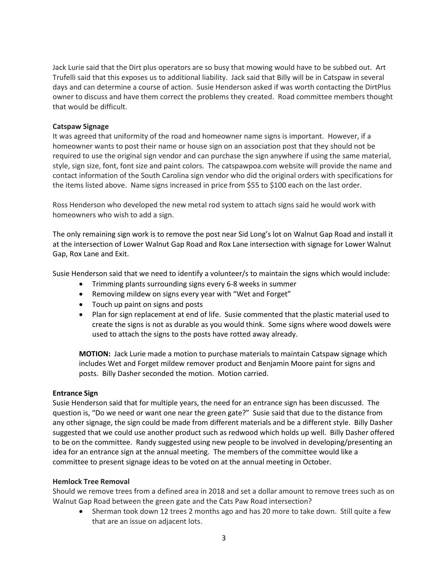Jack Lurie said that the Dirt plus operators are so busy that mowing would have to be subbed out. Art Trufelli said that this exposes us to additional liability. Jack said that Billy will be in Catspaw in several days and can determine a course of action. Susie Henderson asked if was worth contacting the DirtPlus owner to discuss and have them correct the problems they created. Road committee members thought that would be difficult.

### **Catspaw Signage**

It was agreed that uniformity of the road and homeowner name signs is important. However, if a homeowner wants to post their name or house sign on an association post that they should not be required to use the original sign vendor and can purchase the sign anywhere if using the same material, style, sign size, font, font size and paint colors. The catspawpoa.com website will provide the name and contact information of the South Carolina sign vendor who did the original orders with specifications for the items listed above. Name signs increased in price from \$55 to \$100 each on the last order.

Ross Henderson who developed the new metal rod system to attach signs said he would work with homeowners who wish to add a sign.

The only remaining sign work is to remove the post near Sid Long's lot on Walnut Gap Road and install it at the intersection of Lower Walnut Gap Road and Rox Lane intersection with signage for Lower Walnut Gap, Rox Lane and Exit.

Susie Henderson said that we need to identify a volunteer/s to maintain the signs which would include:

- Trimming plants surrounding signs every 6-8 weeks in summer
- Removing mildew on signs every year with "Wet and Forget"
- Touch up paint on signs and posts
- Plan for sign replacement at end of life. Susie commented that the plastic material used to create the signs is not as durable as you would think. Some signs where wood dowels were used to attach the signs to the posts have rotted away already.

**MOTION:** Jack Lurie made a motion to purchase materials to maintain Catspaw signage which includes Wet and Forget mildew remover product and Benjamin Moore paint for signs and posts. Billy Dasher seconded the motion. Motion carried.

#### **Entrance Sign**

Susie Henderson said that for multiple years, the need for an entrance sign has been discussed. The question is, "Do we need or want one near the green gate?" Susie said that due to the distance from any other signage, the sign could be made from different materials and be a different style. Billy Dasher suggested that we could use another product such as redwood which holds up well. Billy Dasher offered to be on the committee. Randy suggested using new people to be involved in developing/presenting an idea for an entrance sign at the annual meeting. The members of the committee would like a committee to present signage ideas to be voted on at the annual meeting in October.

#### **Hemlock Tree Removal**

Should we remove trees from a defined area in 2018 and set a dollar amount to remove trees such as on Walnut Gap Road between the green gate and the Cats Paw Road intersection?

• Sherman took down 12 trees 2 months ago and has 20 more to take down. Still quite a few that are an issue on adjacent lots.